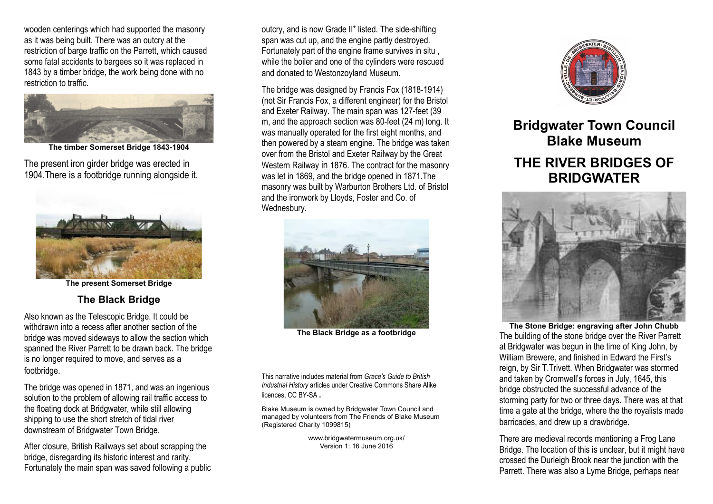wooden centerings which had supported the masonry as it was being built. There was an outcry at the restriction of barge traffic on the Parrett, which caused some fatal accidents to bargees so it was replaced in 1843 by a timber bridge, the work being done with no restriction to traffic.



**The timber Somerset Bridge 1843-1904**

The present iron girder bridge was erected in 1904.There is a footbridge running alongside it.



**The present Somerset Bridge**

## **The Black Bridge**

Also known as the Telescopic Bridge. It could be withdrawn into a recess after another section of the bridge was moved sideways to allow the section which spanned the River Parrett to be drawn back. The bridge is no longer required to move, and serves as a footbridge.

The bridge was opened in 1871, and was an ingenious solution to the problem of allowing rail traffic access to the floating dock at Bridgwater, while still allowing shipping to use the short stretch of tidal river downstream of Bridgwater Town Bridge.

After closure, British Railways set about scrapping the bridge, disregarding its historic interest and rarity. Fortunately the main span was saved following a public outcry, and is now Grade II\* listed. The side-shifting span was cut up, and the engine partly destroyed. Fortunately part of the engine frame survives in situ , while the boiler and one of the cylinders were rescued and donated to Westonzoyland Museum.

The bridge was designed by Francis Fox (1818-1914) (not Sir Francis Fox, a different engineer) for the Bristol and Exeter Railway. The main span was 127-feet (39 m, and the approach section was 80-feet (24 m) long. It was manually operated for the first eight months, and then powered by a steam engine. The bridge was taken over from the Bristol and Exeter Railway by the Great Western Railway in 1876. The contract for the masonry was let in 1869, and the bridge opened in 1871.The masonry was built by Warburton Brothers Ltd. of Bristol and the ironwork by Lloyds, Foster and Co. of Wednesbury.



**The Black Bridge as a footbridge**

This narrative includes material from *Grace's Guide to British Industrial History* articles under Creative Commons Share Alike licences, CC BY-SA **.**

Blake Museum is owned by Bridgwater Town Council and managed by volunteers from The Friends of Blake Museum (Registered Charity 1099815)

> www.bridgwatermuseum.org.uk/ Version 1: 16 June 2016



**Bridgwater Town Council Blake Museum THE RIVER BRIDGES OF BRIDGWATER**



**The Stone Bridge: engraving after John Chubb** The building of the stone bridge over the River Parrett at Bridgwater was begun in the time of King John, by William Brewere, and finished in Edward the First's reign, by Sir T.Trivett. When Bridgwater was stormed and taken by Cromwell's forces in July, 1645, this bridge obstructed the successful advance of the storming party for two or three days. There was at that time a gate at the bridge, where the the royalists made barricades, and drew up a drawbridge.

There are medieval records mentioning a Frog Lane Bridge. The location of this is unclear, but it might have crossed the Durleigh Brook near the junction with the Parrett. There was also a Lyme Bridge, perhaps near